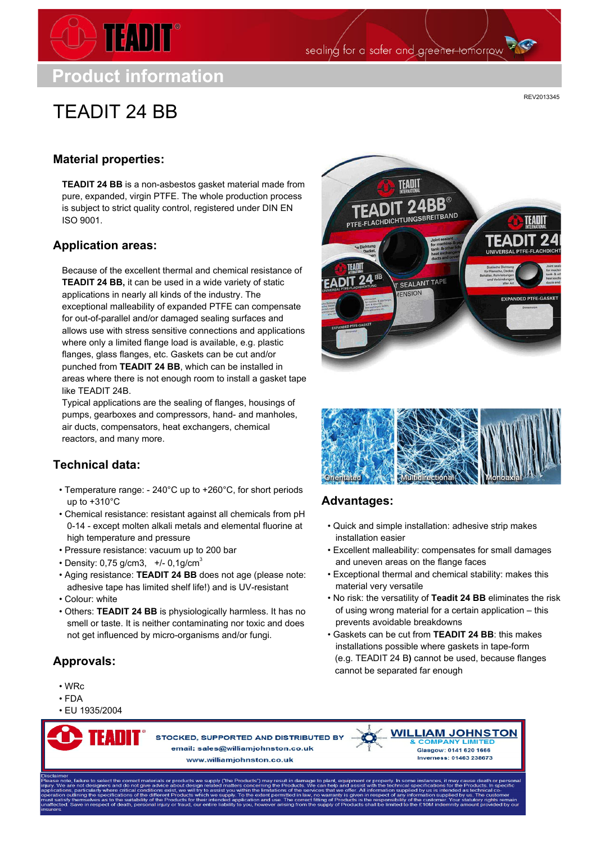

**Product information**

# TEADIT 24 BB

REV2013345

## **Material properties:**

**TEADIT 24 BB** is a non-asbestos gasket material made from pure, expanded, virgin PTFE. The whole production process is subject to strict quality control, registered under DIN EN ISO 9001.

### **Application areas:**

Because of the excellent thermal and chemical resistance of **TEADIT 24 BB,** it can be used in a wide variety of static applications in nearly all kinds of the industry. The exceptional malleability of expanded PTFE can compensate for out-of-parallel and/or damaged sealing surfaces and allows use with stress sensitive connections and applications where only a limited flange load is available, e.g. plastic flanges, glass flanges, etc. Gaskets can be cut and/or punched from **TEADIT 24 BB**, which can be installed in areas where there is not enough room to install a gasket tape like TEADIT 24B.

Typical applications are the sealing of flanges, housings of pumps, gearboxes and compressors, hand- and manholes, air ducts, compensators, heat exchangers, chemical reactors, and many more.

## **Technical data:**

- Temperature range: 240°C up to +260°C, for short periods up to +310°C
- Chemical resistance: resistant against all chemicals from pH 0-14 - except molten alkali metals and elemental fluorine at high temperature and pressure
- Pressure resistance: vacuum up to 200 bar
- Density: 0,75 g/cm3,  $+/-$  0,1g/cm<sup>3</sup>
- Aging resistance: **TEADIT 24 BB** does not age (please note: adhesive tape has limited shelf life!) and is UV-resistant • Colour: white
- 
- Others: **TEADIT 24 BB** is physiologically harmless. It has no smell or taste. It is neither contaminating nor toxic and does not get influenced by micro-organisms and/or fungi.

## **Approvals:**

- WRc
- FDA
- EU 1935/2004

STOCKED, SUPPORTED AND DISTRIBUTED BY email: sales@williamjohnston.co.uk www.williamjohnston.co.uk



sealing for a safer and greener tomorrow



#### **Advantages:**

- Quick and simple installation: adhesive strip makes installation easier
- Excellent malleability: compensates for small damages and uneven areas on the flange faces
- Exceptional thermal and chemical stability: makes this material very versatile
- No risk: the versatility of **Teadit 24 BB** eliminates the risk of using wrong material for a certain application – this prevents avoidable breakdowns
- Gaskets can be cut from **TEADIT 24 BB**: this makes installations possible where gaskets in tape-form (e.g. TEADIT 24 B**)** cannot be used, because flanges cannot be separated far enough